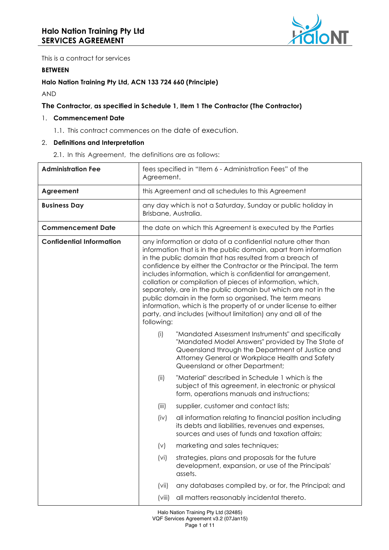

This is a contract for services

### **BETWEEN**

# **Halo Nation Training Pty Ltd, ACN 133 724 660 (Principle)**

AND

# **The Contractor, as specified in Schedule 1, Item 1 The Contractor (The Contractor)**

# 1. **Commencement Date**

1.1. This contract commences on the date of execution.

# 2. **Definitions and Interpretation**

2.1. In this Agreement, the definitions are as follows:

| <b>Administration Fee</b>       | fees specified in "Item 6 - Administration Fees" of the<br>Agreement.                                                                                                                                                                                                                                                                                                                                                                                                                                                                                                                                                                                                 |                                                                                                                                                                                                                                                   |
|---------------------------------|-----------------------------------------------------------------------------------------------------------------------------------------------------------------------------------------------------------------------------------------------------------------------------------------------------------------------------------------------------------------------------------------------------------------------------------------------------------------------------------------------------------------------------------------------------------------------------------------------------------------------------------------------------------------------|---------------------------------------------------------------------------------------------------------------------------------------------------------------------------------------------------------------------------------------------------|
| Agreement                       | this Agreement and all schedules to this Agreement                                                                                                                                                                                                                                                                                                                                                                                                                                                                                                                                                                                                                    |                                                                                                                                                                                                                                                   |
| <b>Business Day</b>             | any day which is not a Saturday, Sunday or public holiday in<br>Brisbane, Australia.                                                                                                                                                                                                                                                                                                                                                                                                                                                                                                                                                                                  |                                                                                                                                                                                                                                                   |
| <b>Commencement Date</b>        | the date on which this Agreement is executed by the Parties                                                                                                                                                                                                                                                                                                                                                                                                                                                                                                                                                                                                           |                                                                                                                                                                                                                                                   |
| <b>Confidential Information</b> | any information or data of a confidential nature other than<br>information that is in the public domain, apart from information<br>in the public domain that has resulted from a breach of<br>confidence by either the Contractor or the Principal. The term<br>includes information, which is confidential for arrangement,<br>collation or compilation of pieces of information, which,<br>separately, are in the public domain but which are not in the<br>public domain in the form so organised. The term means<br>information, which is the property of or under license to either<br>party, and includes (without limitation) any and all of the<br>following: |                                                                                                                                                                                                                                                   |
|                                 | (i)                                                                                                                                                                                                                                                                                                                                                                                                                                                                                                                                                                                                                                                                   | "Mandated Assessment Instruments" and specifically<br>"Mandated Model Answers" provided by The State of<br>Queensland through the Department of Justice and<br>Attorney General or Workplace Health and Safety<br>Queensland or other Department; |
|                                 | (ii)                                                                                                                                                                                                                                                                                                                                                                                                                                                                                                                                                                                                                                                                  | "Material" described in Schedule 1 which is the<br>subject of this agreement, in electronic or physical<br>form, operations manuals and instructions;                                                                                             |
|                                 | (iii)                                                                                                                                                                                                                                                                                                                                                                                                                                                                                                                                                                                                                                                                 | supplier, customer and contact lists;                                                                                                                                                                                                             |
|                                 | (iv)                                                                                                                                                                                                                                                                                                                                                                                                                                                                                                                                                                                                                                                                  | all information relating to financial position including<br>its debts and liabilities, revenues and expenses,<br>sources and uses of funds and taxation affairs;                                                                                  |
|                                 | (v)                                                                                                                                                                                                                                                                                                                                                                                                                                                                                                                                                                                                                                                                   | marketing and sales techniques;                                                                                                                                                                                                                   |
|                                 | (vi)                                                                                                                                                                                                                                                                                                                                                                                                                                                                                                                                                                                                                                                                  | strategies, plans and proposals for the future<br>development, expansion, or use of the Principals'<br>assets.                                                                                                                                    |
|                                 | (vii)                                                                                                                                                                                                                                                                                                                                                                                                                                                                                                                                                                                                                                                                 | any databases compiled by, or for, the Principal; and                                                                                                                                                                                             |
|                                 | (viii)                                                                                                                                                                                                                                                                                                                                                                                                                                                                                                                                                                                                                                                                | all matters reasonably incidental thereto.                                                                                                                                                                                                        |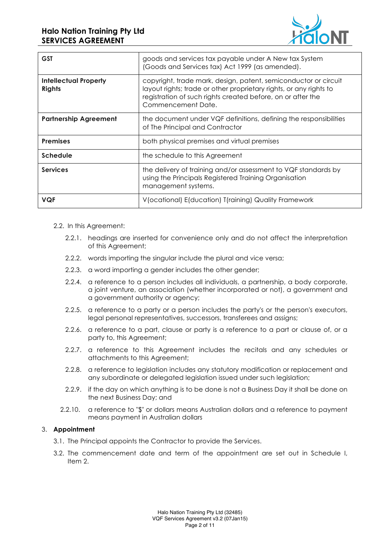

| <b>GST</b>                                    | goods and services tax payable under A New tax System<br>(Goods and Services tax) Act 1999 (as amended).                                                                                                                   |
|-----------------------------------------------|----------------------------------------------------------------------------------------------------------------------------------------------------------------------------------------------------------------------------|
| <b>Intellectual Property</b><br><b>Rights</b> | copyright, trade mark, design, patent, semiconductor or circuit<br>layout rights; trade or other proprietary rights, or any rights to<br>registration of such rights created before, on or after the<br>Commencement Date. |
| <b>Partnership Agreement</b>                  | the document under VQF definitions, defining the responsibilities<br>of The Principal and Contractor                                                                                                                       |
| <b>Premises</b>                               | both physical premises and virtual premises                                                                                                                                                                                |
| <b>Schedule</b>                               | the schedule to this Agreement                                                                                                                                                                                             |
| <b>Services</b>                               | the delivery of training and/or assessment to VQF standards by<br>using the Principals Registered Training Organisation<br>management systems.                                                                             |
| <b>VQF</b>                                    | V(ocational) E(ducation) T(raining) Quality Framework                                                                                                                                                                      |

## 2.2. In this Agreement:

- 2.2.1. headings are inserted for convenience only and do not affect the interpretation of this Agreement;
- 2.2.2. words importing the singular include the plural and vice versa;
- 2.2.3. a word importing a gender includes the other gender;
- 2.2.4. a reference to a person includes all individuals, a partnership, a body corporate, a joint venture, an association (whether incorporated or not), a government and a government authority or agency;
- 2.2.5. a reference to a party or a person includes the party's or the person's executors, legal personal representatives, successors, transferees and assigns;
- 2.2.6. a reference to a part, clause or party is a reference to a part or clause of, or a party to, this Agreement;
- 2.2.7. a reference to this Agreement includes the recitals and any schedules or attachments to this Agreement;
- 2.2.8. a reference to legislation includes any statutory modification or replacement and any subordinate or delegated legislation issued under such legislation;
- 2.2.9. if the day on which anything is to be done is not a Business Day it shall be done on the next Business Day; and
- 2.2.10. a reference to "\$" or dollars means Australian dollars and a reference to payment means payment in Australian dollars

### 3. **Appointment**

- 3.1. The Principal appoints the Contractor to provide the Services.
- 3.2. The commencement date and term of the appointment are set out in Schedule I, Item 2.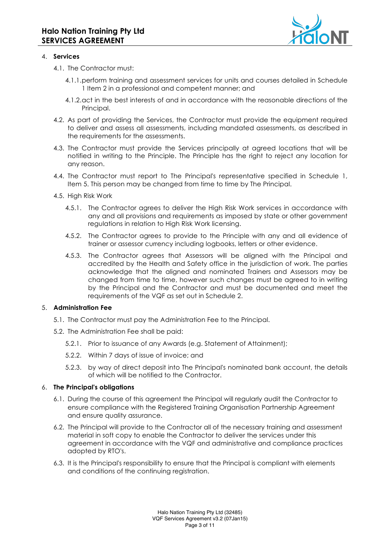

## 4. **Services**

- 4.1. The Contractor must:
	- 4.1.1.perform training and assessment services for units and courses detailed in Schedule 1 Item 2 in a professional and competent manner; and
	- 4.1.2.act in the best interests of and in accordance with the reasonable directions of the Principal.
- 4.2. As part of providing the Services, the Contractor must provide the equipment required to deliver and assess all assessments, including mandated assessments, as described in the requirements for the assessments.
- 4.3. The Contractor must provide the Services principally at agreed locations that will be notified in writing to the Principle. The Principle has the right to reject any location for any reason.
- 4.4. The Contractor must report to The Principal's representative specified in Schedule 1, Item 5. This person may be changed from time to time by The Principal.
- 4.5. High Risk Work
	- 4.5.1. The Contractor agrees to deliver the High Risk Work services in accordance with any and all provisions and requirements as imposed by state or other government regulations in relation to High Risk Work licensing.
	- 4.5.2. The Contractor agrees to provide to the Principle with any and all evidence of trainer or assessor currency including logbooks, letters or other evidence.
	- 4.5.3. The Contractor agrees that Assessors will be aligned with the Principal and accredited by the Health and Safety office in the jurisdiction of work. The parties acknowledge that the aligned and nominated Trainers and Assessors may be changed from time to time, however such changes must be agreed to in writing by the Principal and the Contractor and must be documented and meet the requirements of the VQF as set out in Schedule 2.

# 5. **Administration Fee**

- 5.1. The Contractor must pay the Administration Fee to the Principal.
- 5.2. The Administration Fee shall be paid:
	- 5.2.1. Prior to issuance of any Awards (e.g. Statement of Attainment);
	- 5.2.2. Within 7 days of issue of invoice; and
	- 5.2.3. by way of direct deposit into The Principal's nominated bank account, the details of which will be notified to the Contractor.

### 6. **The Principal's obligations**

- 6.1. During the course of this agreement the Principal will regularly audit the Contractor to ensure compliance with the Registered Training Organisation Partnership Agreement and ensure quality assurance.
- 6.2. The Principal will provide to the Contractor all of the necessary training and assessment material in soft copy to enable the Contractor to deliver the services under this agreement in accordance with the VQF and administrative and compliance practices adopted by RTO's.
- 6.3. It is the Principal's responsibility to ensure that the Principal is compliant with elements and conditions of the continuing registration.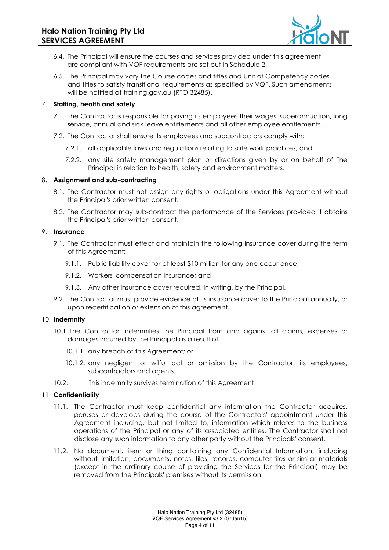

- 6.4. The Principal will ensure the courses and services provided under this agreement are compliant with VQF requirements are set out in Schedule 2.
- 6.5. The Principal may vary the Course codes and titles and Unit of Competency codes and titles to satisfy transitional requirements as specified by VQF. Such amendments will be notified at training.gov.au (RTO 32485).

#### 7. **Staffing, health and safety**

- 7.1. The Contractor is responsible for paying its employees their wages, superannuation, long service, annual and sick leave entitlements and all other employee entitlements.
- 7.2. The Contractor shall ensure its employees and subcontractors comply with:
	- 7.2.1. all applicable laws and regulations relating to safe work practices; and
	- 7.2.2. any site safety management plan or directions given by or on behalf of The Principal in relation to health, safety and environment matters.

#### 8. **Assignment and sub-contracting**

- 8.1. The Contractor must not assign any rights or obligations under this Agreement without the Principal's prior written consent.
- 8.2. The Contractor may sub-contract the performance of the Services provided it obtains the Principal's prior written consent.

## 9. **Insurance**

- 9.1. The Contractor must effect and maintain the following insurance cover during the term of this Agreement:
	- 9.1.1. Public liability cover for at least \$10 million for any one occurrence;
	- 9.1.2. Workers' compensation insurance; and
	- 9.1.3. Any other insurance cover required, in writing, by the Principal.
- 9.2. The Contractor must provide evidence of its insurance cover to the Principal annually, or upon recertification or extension of this agreement..

#### 10. **Indemnity**

- 10.1. The Contractor indemnifies the Principal from and against all claims, expenses or damages incurred by the Principal as a result of:
	- 10.1.1. any breach of this Agreement; or
	- 10.1.2. any negligent or wilful act or omission by the Contractor, its employees, subcontractors and agents.
- 10.2. This indemnity survives termination of this Agreement.

### 11. **Confidentiality**

- 11.1. The Contractor must keep confidential any information the Contractor acquires, peruses or develops during the course of the Contractors' appointment under this Agreement including, but not limited to, information which relates to the business operations of the Principal or any of its associated entities. The Contractor shall not disclose any such information to any other party without the Principals' consent.
- 11.2. No document, item or thing containing any Confidential Information, including without limitation, documents, notes, files, records, computer files or similar materials (except in the ordinary course of providing the Services for the Principal) may be removed from the Principals' premises without its permission.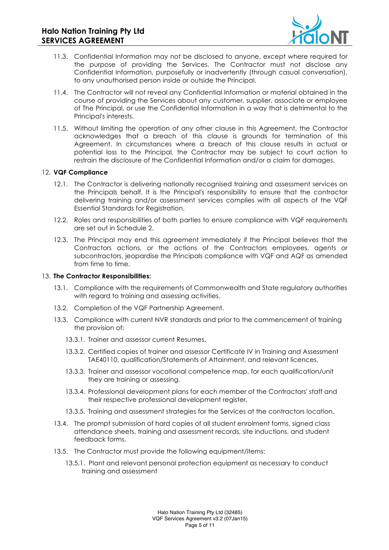

- 11.3. Confidential Information may not be disclosed to anyone, except where required for the purpose of providing the Services. The Contractor must not disclose any Confidential Information, purposefully or inadvertently (through casual conversation), to any unauthorised person inside or outside the Principal.
- 11.4. The Contractor will not reveal any Confidential Information or material obtained in the course of providing the Services about any customer, supplier, associate or employee of The Principal, or use the Confidential Information in a way that is detrimental to the Principal's interests.
- 11.5. Without limiting the operation of any other clause in this Agreement, the Contractor acknowledges that a breach of this clause is grounds for termination of this Agreement. In circumstances where a breach of this clause results in actual or potential loss to the Principal, the Contractor may be subject to court action to restrain the disclosure of the Confidential Information and/or a claim for damages.

### 12. **VQF Compliance**

- 12.1. The Contractor is delivering nationally recognised training and assessment services on the Principals behalf. It is the Principal's responsibility to ensure that the contractor delivering training and/or assessment services complies with all aspects of the VQF Essential Standards for Registration.
- 12.2. Roles and responsibilities of both parties to ensure compliance with VQF requirements are set out in Schedule 2.
- 12.3. The Principal may end this agreement immediately if the Principal believes that the Contractors actions, or the actions of the Contractors employees, agents or subcontractors, jeopardise the Principals compliance with VQF and AQF as amended from time to time.

#### 13. **The Contractor Responsibilities:**

- 13.1. Compliance with the requirements of Commonwealth and State regulatory authorities with regard to training and assessing activities.
- 13.2. Completion of the VQF Partnership Agreement.
- 13.3. Compliance with current NVR standards and prior to the commencement of training the provision of:
	- 13.3.1. Trainer and assessor current Resumes,
	- 13.3.2. Certified copies of trainer and assessor Certificate IV in Training and Assessment TAE40110, qualification/Statements of Attainment, and relevant licences,
	- 13.3.3. Trainer and assessor vocational competence map, for each qualification/unit they are training or assessing,
	- 13.3.4. Professional development plans for each member of the Contractors' staff and their respective professional development register,
	- 13.3.5. Training and assessment strategies for the Services at the contractors location.
- 13.4. The prompt submission of hard copies of all student enrolment forms, signed class attendance sheets, training and assessment records, site inductions, and student feedback forms.
- 13.5. The Contractor must provide the following equipment/items:
	- 13.5.1. Plant and relevant personal protection equipment as necessary to conduct training and assessment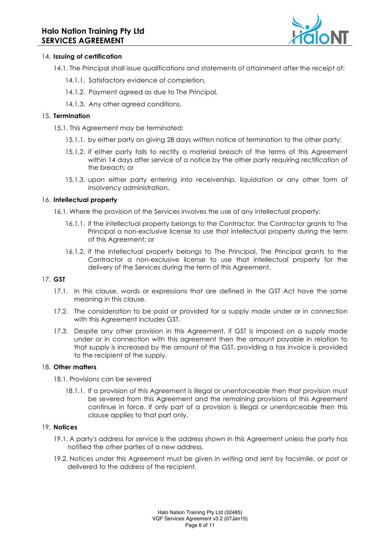

## 14. **Issuing of certification**

- 14.1. The Principal shall issue qualifications and statements of attainment after the receipt of:
	- 14.1.1. Satisfactory evidence of completion,
	- 14.1.2. Payment agreed as due to The Principal,
	- 14.1.3. Any other agreed conditions.

## 15. **Termination**

- 15.1. This Agreement may be terminated:
	- 15.1.1. by either party on giving 28 days written notice of termination to the other party;
	- 15.1.2. if either party fails to rectify a material breach of the terms of this Agreement within 14 days after service of a notice by the other party requiring rectification of the breach; or
	- 15.1.3. upon either party entering into receivership, liquidation or any other form of insolvency administration.

### 16. **Intellectual property**

- 16.1. Where the provision of the Services involves the use of any intellectual property:
	- 16.1.1. if the intellectual property belongs to the Contractor, the Contractor grants to The Principal a non-exclusive license to use that intellectual property during the term of this Agreement; or
	- 16.1.2. if the intellectual property belongs to The Principal, The Principal grants to the Contractor a non-exclusive license to use that intellectual property for the delivery of the Services during the term of this Agreement.

### 17. **GST**

- 17.1. In this clause, words or expressions that are defined in the GST Act have the same meaning in this clause.
- 17.2. The consideration to be paid or provided for a supply made under or in connection with this Agreement includes GST.
- 17.3. Despite any other provision in this Agreement, if GST is imposed on a supply made under or in connection with this agreement then the amount payable in relation to that supply is increased by the amount of the GST, providing a tax invoice is provided to the recipient of the supply.

### 18. **Other matters**

- 18.1. Provisions can be severed
	- 18.1.1. If a provision of this Agreement is illegal or unenforceable then that provision must be severed from this Agreement and the remaining provisions of this Agreement continue in force. If only part of a provision is illegal or unenforceable then this clause applies to that part only.

### 19. **Notices**

- 19.1. A party's address for service is the address shown in this Agreement unless the party has notified the other parties of a new address.
- 19.2. Notices under this Agreement must be given in writing and sent by facsimile, or post or delivered to the address of the recipient.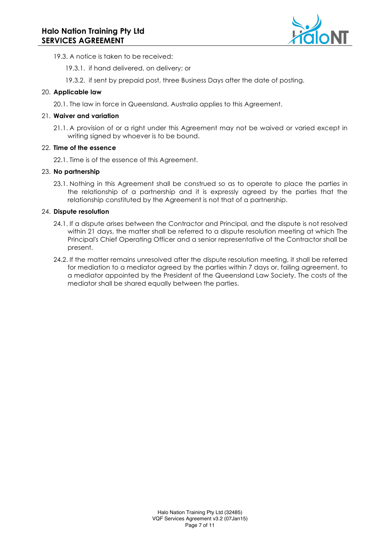

19.3. A notice is taken to be received:

19.3.1. if hand delivered, on delivery; or

19.3.2. if sent by prepaid post, three Business Days after the date of posting.

### 20. **Applicable law**

20.1. The law in force in Queensland, Australia applies to this Agreement.

### 21. **Waiver and variation**

21.1. A provision of or a right under this Agreement may not be waived or varied except in writing signed by whoever is to be bound.

## 22. **Time of the essence**

22.1. Time is of the essence of this Agreement.

## 23. **No partnership**

23.1. Nothing in this Agreement shall be construed so as to operate to place the parties in the relationship of a partnership and it is expressly agreed by the parties that the relationship constituted by the Agreement is not that of a partnership.

## 24. **Dispute resolution**

- 24.1. If a dispute arises between the Contractor and Principal, and the dispute is not resolved within 21 days, the matter shall be referred to a dispute resolution meeting at which The Principal's Chief Operating Officer and a senior representative of the Contractor shall be present.
- 24.2. If the matter remains unresolved after the dispute resolution meeting, it shall be referred for mediation to a mediator agreed by the parties within 7 days or, failing agreement, to a mediator appointed by the President of the Queensland Law Society. The costs of the mediator shall be shared equally between the parties.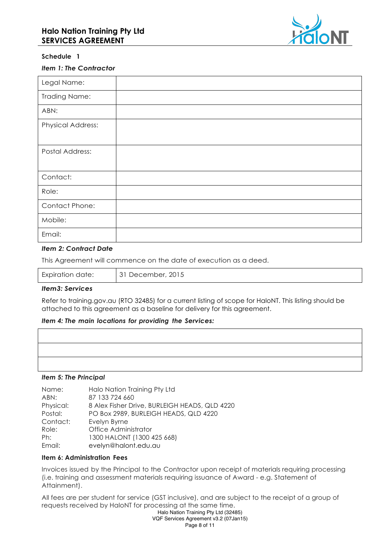

## **Schedule 1**

### *Item 1: The Contractor*

| Legal Name:              |  |
|--------------------------|--|
| <b>Trading Name:</b>     |  |
| ABN:                     |  |
| <b>Physical Address:</b> |  |
| <b>Postal Address:</b>   |  |
| Contact:                 |  |
| Role:                    |  |
| Contact Phone:           |  |
| Mobile:                  |  |
| Email:                   |  |

#### *Item 2: Contract Date*

This Agreement will commence on the date of execution as a deed.

| <b>Expiration date:</b> | December, 2015 |
|-------------------------|----------------|
|-------------------------|----------------|

#### *Item3: Services*

Refer to training.gov.au (RTO 32485) for a current listing of scope for HaloNT. This listing should be attached to this agreement as a baseline for delivery for this agreement.

### *Item 4: The main locations for providing the Services:*

#### *Item 5: The Principal*

| Name:     | Halo Nation Training Pty Ltd                  |
|-----------|-----------------------------------------------|
| ABN:      | 87 133 724 660                                |
| Physical: | 8 Alex Fisher Drive, BURLEIGH HEADS, QLD 4220 |
| Postal:   | PO Box 2989, BURLEIGH HEADS, QLD 4220         |
| Contact:  | Evelyn Byrne                                  |
| Role:     | Office Administrator                          |
| Ph:       | 1300 HALONT (1300 425 668)                    |
| Email:    | evelyn@halont.edu.au                          |

#### **Item 6: Administration Fees**

Invoices issued by the Principal to the Contractor upon receipt of materials requiring processing (i.e. training and assessment materials requiring issuance of Award - e.g. Statement of Attainment).

All fees are per student for service (GST inclusive), and are subject to the receipt of a group of requests received by HaloNT for processing at the same time.

Halo Nation Training Pty Ltd (32485) VQF Services Agreement v3.2 (07Jan15) Page 8 of 11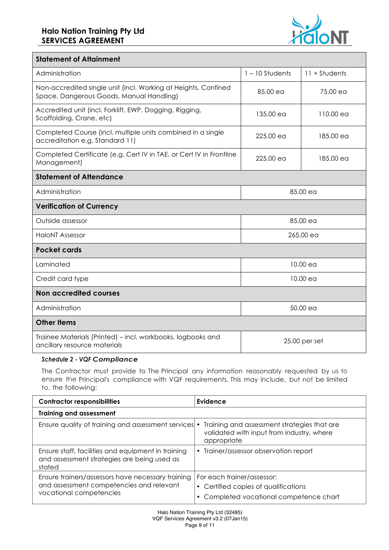

## **Statement of Attainment**

| Administration                                                                                             | $1 - 10$ Students | $11 +$ Students |
|------------------------------------------------------------------------------------------------------------|-------------------|-----------------|
| Non-accredited single unit (incl. Working at Heights, Confined<br>Space, Dangerous Goods, Manual Handling) | 85.00 ea          | 75.00 ea        |
| Accredited unit (incl. Forklift, EWP, Dogging, Rigging,<br>Scaffolding, Crane, etc)                        | 135.00 ea         | 110.00 ea       |
| Completed Course (incl. multiple units combined in a single<br>accreditation e.g. Standard 11)             | $225.00$ ea       | 185.00 ea       |
| Completed Certificate (e.g. Cert IV in TAE, or Cert IV in Frontline<br>Management)                         | 225.00 ea         | 185.00 ea       |
| <b>Statement of Attendance</b>                                                                             |                   |                 |
| Administration                                                                                             | 85.00 ea          |                 |
| <b>Verification of Currency</b>                                                                            |                   |                 |
| Outside assessor                                                                                           | 85.00 ea          |                 |
| <b>HaloNT Assessor</b>                                                                                     | 265.00 ea         |                 |
| <b>Pocket cards</b>                                                                                        |                   |                 |
| Laminated                                                                                                  | 10.00 ea          |                 |
| Credit card type                                                                                           | $10.00$ ea        |                 |
| <b>Non accredited courses</b>                                                                              |                   |                 |
| Administration<br>50.00 ea                                                                                 |                   |                 |
| <b>Other Items</b>                                                                                         |                   |                 |
| Trainee Materials (Printed) - incl. workbooks, logbooks and<br>ancillary resource materials                | 25.00 per set     |                 |

## *Schedule 2 - VQF Compliance*

The Contractor must provide to The Principal any information reasonably requested by us to ensure the Principal's compliance with VQF requirements. This may include, but not be limited to, the following:

| <b>Contractor responsibilities</b>                                                                                       | Evidence                                                                                                    |
|--------------------------------------------------------------------------------------------------------------------------|-------------------------------------------------------------------------------------------------------------|
| <b>Training and assessment</b>                                                                                           |                                                                                                             |
| Ensure quality of training and assessment services                                                                       | Training and assessment strategies that are<br>validated with input from industry, where<br>appropriate     |
| Ensure staff, facilities and equipment in training<br>and assessment strategies are being used as<br>stated              | • Trainer/assessor observation report                                                                       |
| Ensure trainers/assessors have necessary training<br>and assessment competencies and relevant<br>vocational competencies | For each trainer/assessor:<br>• Certified copies of qualifications<br>Completed vocational competence chart |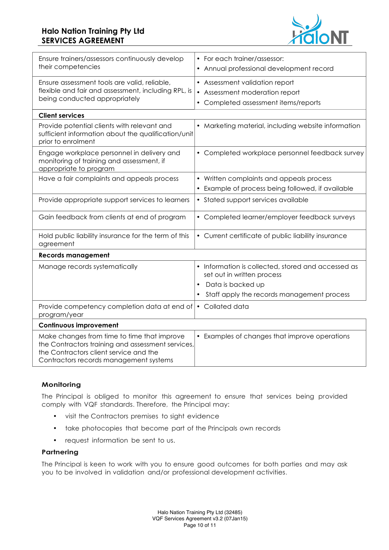# **Halo Nation Training Pty Ltd SERVICES AGREEMENT**



| Ensure trainers/assessors continuously develop<br>their competencies                                                                                                                 | • For each trainer/assessor:<br>• Annual professional development record                                 |
|--------------------------------------------------------------------------------------------------------------------------------------------------------------------------------------|----------------------------------------------------------------------------------------------------------|
| Ensure assessment tools are valid, reliable,<br>flexible and fair and assessment, including RPL, is<br>being conducted appropriately                                                 | • Assessment validation report<br>• Assessment moderation report<br>• Completed assessment items/reports |
| <b>Client services</b>                                                                                                                                                               |                                                                                                          |
| Provide potential clients with relevant and<br>sufficient information about the qualification/unit<br>prior to enrolment                                                             | • Marketing material, including website information                                                      |
| Engage workplace personnel in delivery and<br>monitoring of training and assessment, if<br>appropriate to program                                                                    | • Completed workplace personnel feedback survey                                                          |
| Have a fair complaints and appeals process                                                                                                                                           | • Written complaints and appeals process                                                                 |
|                                                                                                                                                                                      | Example of process being followed, if available                                                          |
| Provide appropriate support services to learners                                                                                                                                     | • Stated support services available                                                                      |
| Gain feedback from clients at end of program                                                                                                                                         | • Completed learner/employer feedback surveys                                                            |
| Hold public liability insurance for the term of this<br>agreement                                                                                                                    | • Current certificate of public liability insurance                                                      |
| <b>Records management</b>                                                                                                                                                            |                                                                                                          |
| Manage records systematically                                                                                                                                                        | • Information is collected, stored and accessed as<br>set out in written process                         |
|                                                                                                                                                                                      | Data is backed up                                                                                        |
|                                                                                                                                                                                      | Staff apply the records management process<br>$\bullet$                                                  |
| Provide competency completion data at end of<br>program/year                                                                                                                         | • Collated data                                                                                          |
| <b>Continuous improvement</b>                                                                                                                                                        |                                                                                                          |
| Make changes from time to time that improve<br>the Contractors training and assessment services,<br>the Contractors client service and the<br>Contractors records management systems | • Examples of changes that improve operations                                                            |

# **Monitoring**

The Principal is obliged to monitor this agreement to ensure that services being provided comply with VQF standards. Therefore, the Principal may:

- visit the Contractors premises to sight evidence
- take photocopies that become part of the Principals own records
- request information be sent to us.

### **Partnering**

The Principal is keen to work with you to ensure good outcomes for both parties and may ask you to be involved in validation and/or professional development activities.